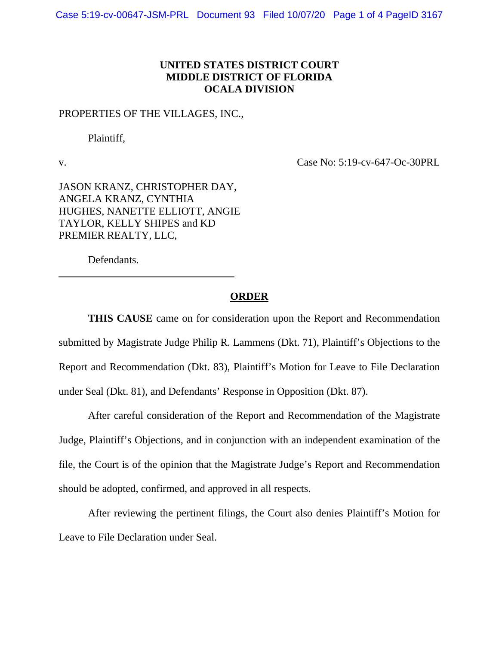## **UNITED STATES DISTRICT COURT MIDDLE DISTRICT OF FLORIDA OCALA DIVISION**

## PROPERTIES OF THE VILLAGES, INC.,

Plaintiff,

 $\overline{a}$ 

v. Case No: 5:19-cv-647-Oc-30PRL

JASON KRANZ, CHRISTOPHER DAY, ANGELA KRANZ, CYNTHIA HUGHES, NANETTE ELLIOTT, ANGIE TAYLOR, KELLY SHIPES and KD PREMIER REALTY, LLC,

Defendants.

## **ORDER**

**THIS CAUSE** came on for consideration upon the Report and Recommendation submitted by Magistrate Judge Philip R. Lammens (Dkt. 71), Plaintiff's Objections to the Report and Recommendation (Dkt. 83), Plaintiff's Motion for Leave to File Declaration under Seal (Dkt. 81), and Defendants' Response in Opposition (Dkt. 87).

After careful consideration of the Report and Recommendation of the Magistrate Judge, Plaintiff's Objections, and in conjunction with an independent examination of the file, the Court is of the opinion that the Magistrate Judge's Report and Recommendation should be adopted, confirmed, and approved in all respects.

After reviewing the pertinent filings, the Court also denies Plaintiff's Motion for Leave to File Declaration under Seal.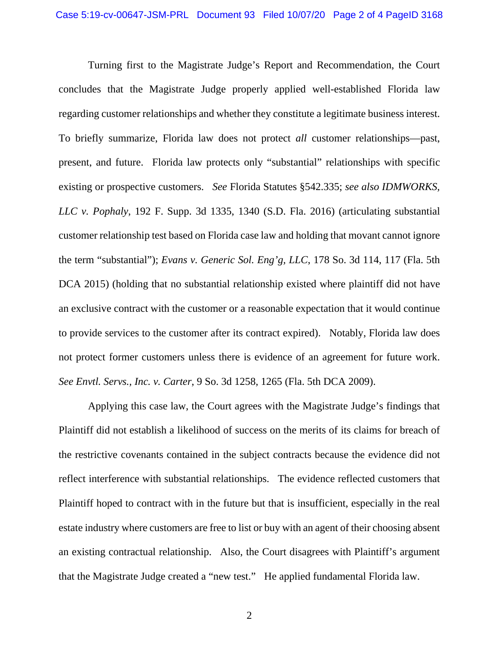Turning first to the Magistrate Judge's Report and Recommendation, the Court concludes that the Magistrate Judge properly applied well-established Florida law regarding customer relationships and whether they constitute a legitimate business interest. To briefly summarize, Florida law does not protect *all* customer relationships—past, present, and future. Florida law protects only "substantial" relationships with specific existing or prospective customers. *See* Florida Statutes §542.335; *see also IDMWORKS, LLC v. Pophaly*, 192 F. Supp. 3d 1335, 1340 (S.D. Fla. 2016) (articulating substantial customer relationship test based on Florida case law and holding that movant cannot ignore the term "substantial"); *Evans v. Generic Sol. Eng'g, LLC*, 178 So. 3d 114, 117 (Fla. 5th DCA 2015) (holding that no substantial relationship existed where plaintiff did not have an exclusive contract with the customer or a reasonable expectation that it would continue to provide services to the customer after its contract expired). Notably, Florida law does not protect former customers unless there is evidence of an agreement for future work. *See Envtl. Servs., Inc. v. Carter*, 9 So. 3d 1258, 1265 (Fla. 5th DCA 2009).

Applying this case law, the Court agrees with the Magistrate Judge's findings that Plaintiff did not establish a likelihood of success on the merits of its claims for breach of the restrictive covenants contained in the subject contracts because the evidence did not reflect interference with substantial relationships. The evidence reflected customers that Plaintiff hoped to contract with in the future but that is insufficient, especially in the real estate industry where customers are free to list or buy with an agent of their choosing absent an existing contractual relationship. Also, the Court disagrees with Plaintiff's argument that the Magistrate Judge created a "new test." He applied fundamental Florida law.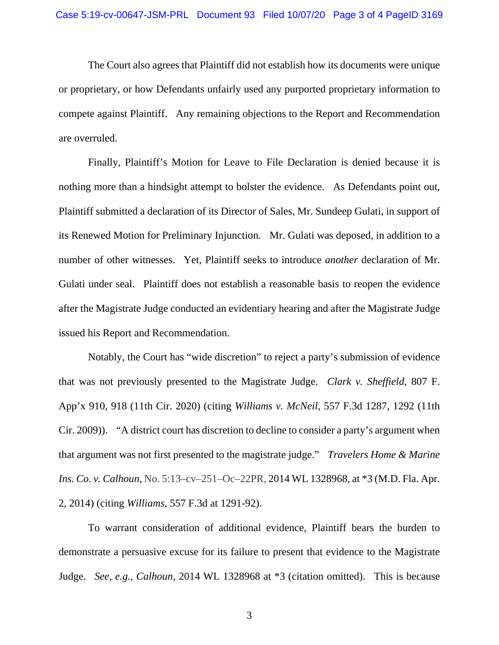The Court also agrees that Plaintiff did not establish how its documents were unique or proprietary, or how Defendants unfairly used any purported proprietary information to compete against Plaintiff. Any remaining objections to the Report and Recommendation are overruled.

Finally, Plaintiff's Motion for Leave to File Declaration is denied because it is nothing more than a hindsight attempt to bolster the evidence. As Defendants point out, Plaintiff submitted a declaration of its Director of Sales, Mr. Sundeep Gulati, in support of its Renewed Motion for Preliminary Injunction. Mr. Gulati was deposed, in addition to a number of other witnesses. Yet, Plaintiff seeks to introduce *another* declaration of Mr. Gulati under seal. Plaintiff does not establish a reasonable basis to reopen the evidence after the Magistrate Judge conducted an evidentiary hearing and after the Magistrate Judge issued his Report and Recommendation.

Notably, the Court has "wide discretion" to reject a party's submission of evidence that was not previously presented to the Magistrate Judge. *Clark v. Sheffield*, 807 F. App'x 910, 918 (11th Cir. 2020) (citing *Williams v. McNeil*, 557 F.3d 1287, 1292 (11th Cir. 2009)). "A district court has discretion to decline to consider a party's argument when that argument was not first presented to the magistrate judge." *Travelers Home & Marine Ins. Co. v. Calhoun*, No. 5:13–cv–251–Oc–22PR, 2014 WL 1328968, at \*3 (M.D. Fla. Apr. 2, 2014) (citing *Williams*, 557 F.3d at 1291-92).

To warrant consideration of additional evidence, Plaintiff bears the burden to demonstrate a persuasive excuse for its failure to present that evidence to the Magistrate Judge. *See*, *e.g.*, *Calhoun*, 2014 WL 1328968 at \*3 (citation omitted). This is because

3